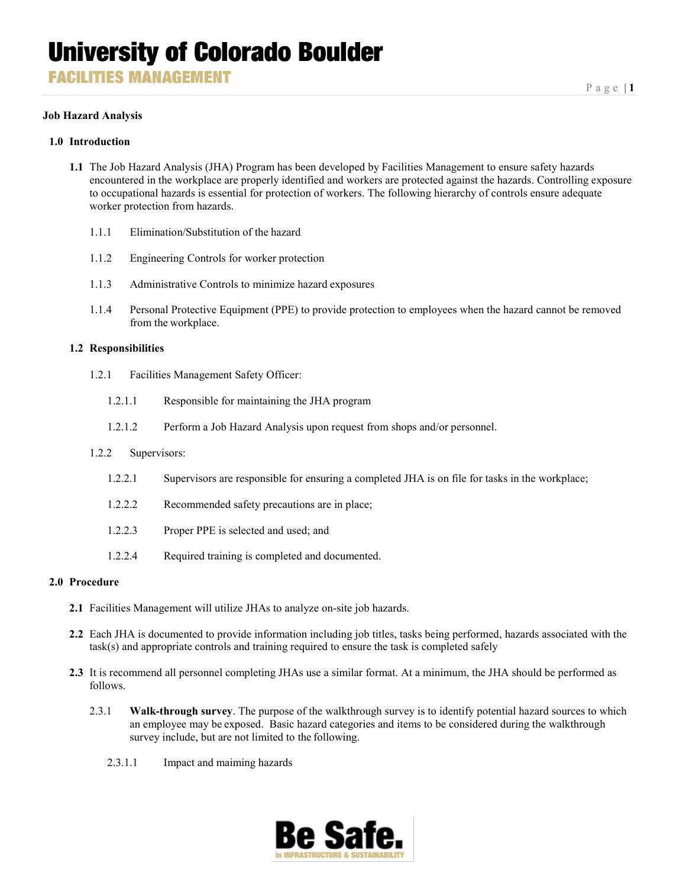**FACILITIES MANAGEMENT** 

### **Job Hazard Analysis**

### **1.0 Introduction**

- **1.1** The Job Hazard Analysis (JHA) Program has been developed by Facilities Management to ensure safety hazards encountered in the workplace are properly identified and workers are protected against the hazards. Controlling exposure to occupational hazards is essential for protection of workers. The following hierarchy of controls ensure adequate worker protection from hazards.
	- 1.1.1 Elimination/Substitution of the hazard
	- 1.1.2 Engineering Controls for worker protection
	- 1.1.3 Administrative Controls to minimize hazard exposures
	- 1.1.4 Personal Protective Equipment (PPE) to provide protection to employees when the hazard cannot be removed from the workplace.

#### **1.2 Responsibilities**

- 1.2.1 Facilities Management Safety Officer:
	- 1.2.1.1 Responsible for maintaining the JHA program
	- 1.2.1.2 Perform a Job Hazard Analysis upon request from shops and/or personnel.

#### 1.2.2 Supervisors:

- 1.2.2.1 Supervisors are responsible for ensuring a completed JHA is on file for tasks in the workplace;
- 1.2.2.2 Recommended safety precautions are in place;
- 1.2.2.3 Proper PPE is selected and used; and
- 1.2.2.4 Required training is completed and documented.

#### **2.0 Procedure**

- **2.1** Facilities Management will utilize JHAs to analyze on-site job hazards.
- **2.2** Each JHA is documented to provide information including job titles, tasks being performed, hazards associated with the task(s) and appropriate controls and training required to ensure the task is completed safely
- **2.3** It is recommend all personnel completing JHAs use a similar format. At a minimum, the JHA should be performed as follows.
	- 2.3.1 **Walk-through survey**. The purpose of the walkthrough survey is to identify potential hazard sources to which an employee may be exposed. Basic hazard categories and items to be considered during the walkthrough survey include, but are not limited to the following.
		- 2.3.1.1 Impact and maiming hazards

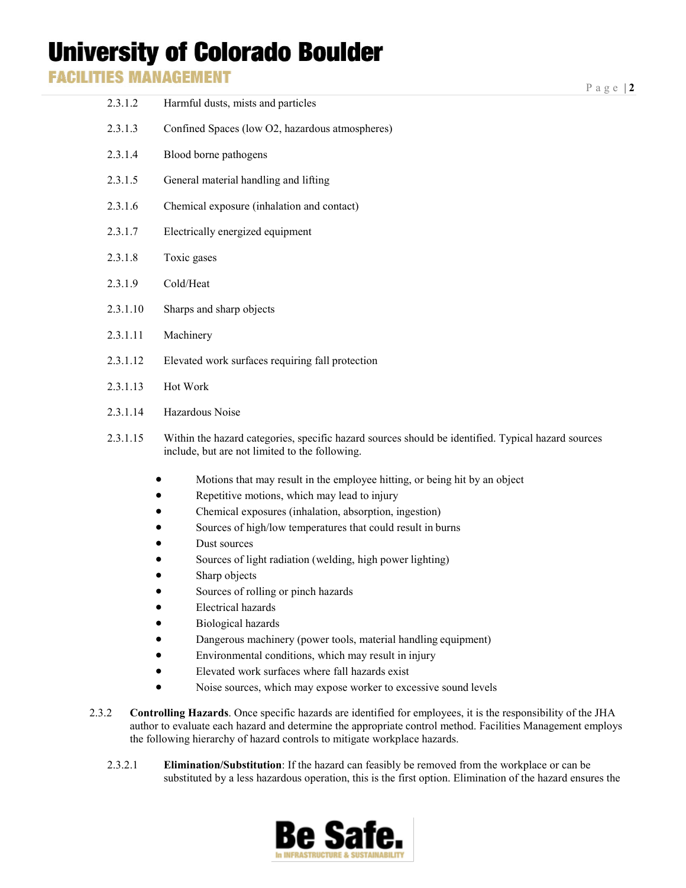**FACILITIES MANAGEMENT** 

| 2.3.1.2  | Harmful dusts, mists and particles                                                                                                                                                                                                                                                                                                                                                       |
|----------|------------------------------------------------------------------------------------------------------------------------------------------------------------------------------------------------------------------------------------------------------------------------------------------------------------------------------------------------------------------------------------------|
| 2.3.1.3  | Confined Spaces (low O2, hazardous atmospheres)                                                                                                                                                                                                                                                                                                                                          |
| 2.3.1.4  | Blood borne pathogens                                                                                                                                                                                                                                                                                                                                                                    |
| 2.3.1.5  | General material handling and lifting                                                                                                                                                                                                                                                                                                                                                    |
| 2.3.1.6  | Chemical exposure (inhalation and contact)                                                                                                                                                                                                                                                                                                                                               |
| 2.3.1.7  | Electrically energized equipment                                                                                                                                                                                                                                                                                                                                                         |
| 2.3.1.8  | Toxic gases                                                                                                                                                                                                                                                                                                                                                                              |
| 2.3.1.9  | Cold/Heat                                                                                                                                                                                                                                                                                                                                                                                |
| 2.3.1.10 | Sharps and sharp objects                                                                                                                                                                                                                                                                                                                                                                 |
| 2.3.1.11 | Machinery                                                                                                                                                                                                                                                                                                                                                                                |
| 2.3.1.12 | Elevated work surfaces requiring fall protection                                                                                                                                                                                                                                                                                                                                         |
| 2.3.1.13 | Hot Work                                                                                                                                                                                                                                                                                                                                                                                 |
| 2.3.1.14 | Hazardous Noise                                                                                                                                                                                                                                                                                                                                                                          |
| 2.3.1.15 | Within the hazard categories, specific hazard sources should be identified. Typical hazard sources<br>include, but are not limited to the following.                                                                                                                                                                                                                                     |
|          | Motions that may result in the employee hitting, or being hit by an object<br>Repetitive motions, which may lead to injury<br>Chemical exposures (inhalation, absorption, ingestion)<br>Sources of high/low temperatures that could result in burns<br>Dust sources<br>Sources of light radiation (welding, high power lighting)<br>Sharp objects<br>Sources of rolling or pinch hazards |
|          | <b>Electrical hazards</b>                                                                                                                                                                                                                                                                                                                                                                |

- Biological hazards
- Dangerous machinery (power tools, material handling equipment)
- Environmental conditions, which may result in injury
- Elevated work surfaces where fall hazards exist
- Noise sources, which may expose worker to excessive sound levels
- 2.3.2 **Controlling Hazards**. Once specific hazards are identified for employees, it is the responsibility of the JHA author to evaluate each hazard and determine the appropriate control method. Facilities Management employs the following hierarchy of hazard controls to mitigate workplace hazards.
	- 2.3.2.1 **Elimination/Substitution**: If the hazard can feasibly be removed from the workplace or can be substituted by a less hazardous operation, this is the first option. Elimination of the hazard ensures the

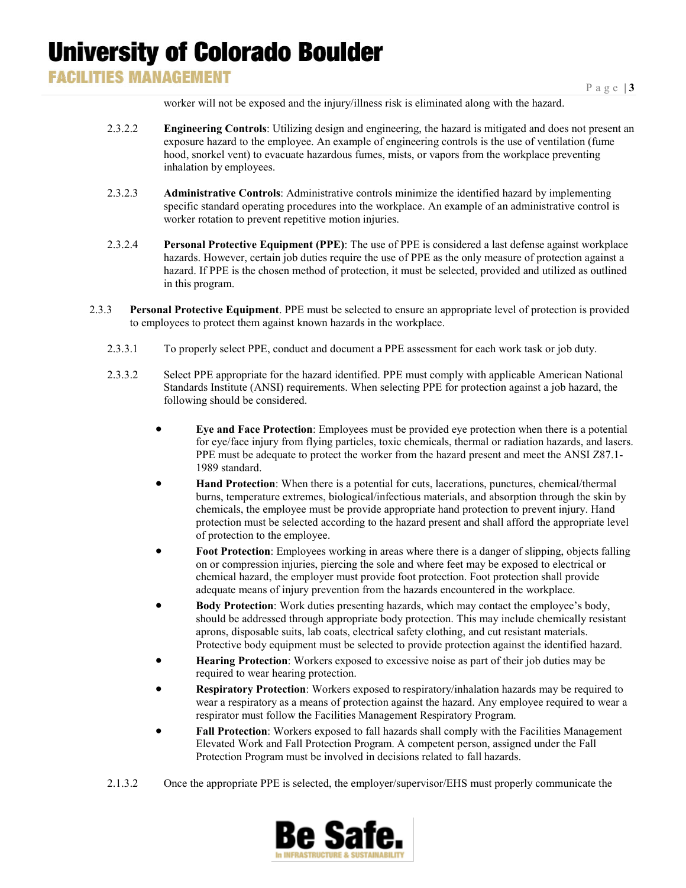### **FACILITIES MANAGEMENT**

worker will not be exposed and the injury/illness risk is eliminated along with the hazard.

- 2.3.2.2 **Engineering Controls**: Utilizing design and engineering, the hazard is mitigated and does not present an exposure hazard to the employee. An example of engineering controls is the use of ventilation (fume hood, snorkel vent) to evacuate hazardous fumes, mists, or vapors from the workplace preventing inhalation by employees.
- 2.3.2.3 **Administrative Controls**: Administrative controls minimize the identified hazard by implementing specific standard operating procedures into the workplace. An example of an administrative control is worker rotation to prevent repetitive motion injuries.
- 2.3.2.4 **Personal Protective Equipment (PPE)**: The use of PPE is considered a last defense against workplace hazards. However, certain job duties require the use of PPE as the only measure of protection against a hazard. If PPE is the chosen method of protection, it must be selected, provided and utilized as outlined in this program.
- 2.3.3 **Personal Protective Equipment**. PPE must be selected to ensure an appropriate level of protection is provided to employees to protect them against known hazards in the workplace.
	- 2.3.3.1 To properly select PPE, conduct and document a PPE assessment for each work task or job duty.
	- 2.3.3.2 Select PPE appropriate for the hazard identified. PPE must comply with applicable American National Standards Institute (ANSI) requirements. When selecting PPE for protection against a job hazard, the following should be considered.
		- **Eye and Face Protection**: Employees must be provided eye protection when there is a potential for eye/face injury from flying particles, toxic chemicals, thermal or radiation hazards, and lasers. PPE must be adequate to protect the worker from the hazard present and meet the ANSI Z87.1- 1989 standard.
		- **Hand Protection**: When there is a potential for cuts, lacerations, punctures, chemical/thermal burns, temperature extremes, biological/infectious materials, and absorption through the skin by chemicals, the employee must be provide appropriate hand protection to prevent injury. Hand protection must be selected according to the hazard present and shall afford the appropriate level of protection to the employee.
		- **Foot Protection**: Employees working in areas where there is a danger of slipping, objects falling on or compression injuries, piercing the sole and where feet may be exposed to electrical or chemical hazard, the employer must provide foot protection. Foot protection shall provide adequate means of injury prevention from the hazards encountered in the workplace.
		- **Body Protection**: Work duties presenting hazards, which may contact the employee's body, should be addressed through appropriate body protection. This may include chemically resistant aprons, disposable suits, lab coats, electrical safety clothing, and cut resistant materials. Protective body equipment must be selected to provide protection against the identified hazard.
		- **Hearing Protection**: Workers exposed to excessive noise as part of their job duties may be required to wear hearing protection.
		- **Respiratory Protection**: Workers exposed to respiratory/inhalation hazards may be required to wear a respiratory as a means of protection against the hazard. Any employee required to wear a respirator must follow the Facilities Management Respiratory Program.
		- **Fall Protection**: Workers exposed to fall hazards shall comply with the Facilities Management Elevated Work and Fall Protection Program. A competent person, assigned under the Fall Protection Program must be involved in decisions related to fall hazards.
	- 2.1.3.2 Once the appropriate PPE is selected, the employer/supervisor/EHS must properly communicate the